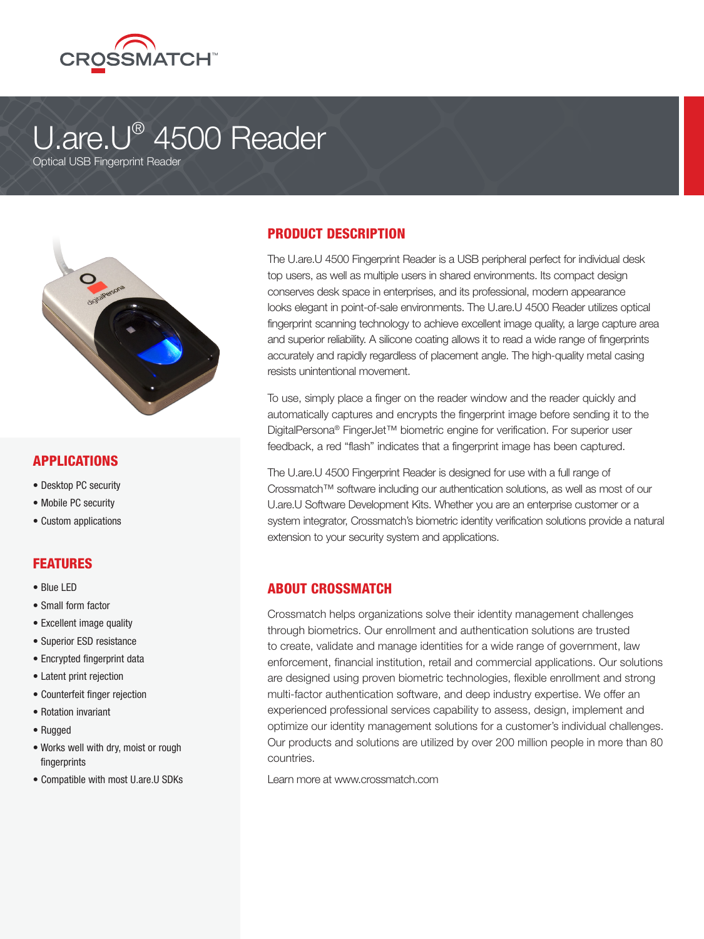

# U.are.U® 4500 Reader

Optical USB Fingerprint Reader



## **APPLICATIONS**

- Desktop PC security
- Mobile PC security
- Custom applications

### FEATURES

- Blue LED
- Small form factor
- Excellent image quality
- Superior ESD resistance
- Encrypted fingerprint data
- Latent print rejection
- Counterfeit finger rejection
- Rotation invariant
- Rugged
- Works well with dry, moist or rough fingerprints
- Compatible with most U.are.U SDKs

# PRODUCT DESCRIPTION

The U.are.U 4500 Fingerprint Reader is a USB peripheral perfect for individual desk top users, as well as multiple users in shared environments. Its compact design conserves desk space in enterprises, and its professional, modern appearance looks elegant in point-of-sale environments. The U.are.U 4500 Reader utilizes optical fingerprint scanning technology to achieve excellent image quality, a large capture area and superior reliability. A silicone coating allows it to read a wide range of fingerprints accurately and rapidly regardless of placement angle. The high-quality metal casing resists unintentional movement.

To use, simply place a finger on the reader window and the reader quickly and automatically captures and encrypts the fingerprint image before sending it to the DigitalPersona® FingerJet™ biometric engine for verification. For superior user feedback, a red "flash" indicates that a fingerprint image has been captured.

The U.are.U 4500 Fingerprint Reader is designed for use with a full range of Crossmatch™ software including our authentication solutions, as well as most of our U.are.U Software Development Kits. Whether you are an enterprise customer or a system integrator, Crossmatch's biometric identity verification solutions provide a natural extension to your security system and applications.

### ABOUT CROSSMATCH

Crossmatch helps organizations solve their identity management challenges through biometrics. Our enrollment and authentication solutions are trusted to create, validate and manage identities for a wide range of government, law enforcement, financial institution, retail and commercial applications. Our solutions are designed using proven biometric technologies, flexible enrollment and strong multi-factor authentication software, and deep industry expertise. We offer an experienced professional services capability to assess, design, implement and optimize our identity management solutions for a customer's individual challenges. Our products and solutions are utilized by over 200 million people in more than 80 countries.

Learn more at www.crossmatch.com